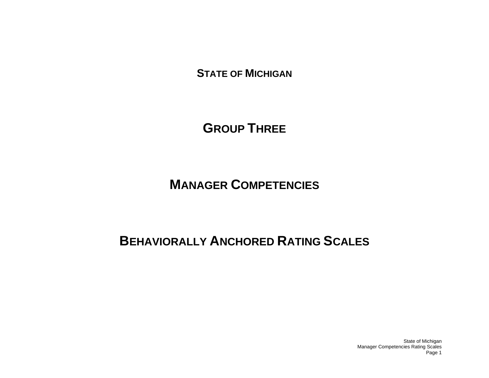**STATE OF MICHIGAN**

**GROUP THREE**

**MANAGER COMPETENCIES**

# **BEHAVIORALLY ANCHORED RATING SCALES**

State of Michigan Manager Competencies Rating Scales Page 1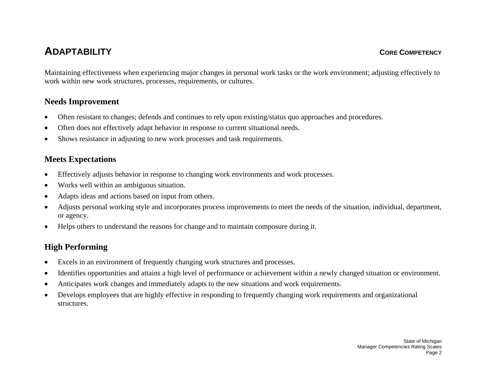# **ADAPTABILITY**

Maintaining effectiveness when experiencing major changes in personal work tasks or the work environment; adjusting effectively to work within new work structures, processes, requirements, or cultures.

## **Needs Improvement**

- •Often resistant to changes; defends and continues to rely upon existing/status quo approaches and procedures.
- •Often does not effectively adapt behavior in response to current situational needs.
- •Shows resistance in adjusting to new work processes and task requirements.

## **Meets Expectations**

- •Effectively adjusts behavior in response to changing work environments and work processes.
- •Works well within an ambiguous situation.
- •Adapts ideas and actions based on input from others.
- • Adjusts personal working style and incorporates process improvements to meet the needs of the situation, individual, department, or agency.
- •Helps others to understand the reasons for change and to maintain composure during it.

- $\bullet$ Excels in an environment of frequently changing work structures and processes.
- •Identifies opportunities and attains a high level of performance or achievement within a newly changed situation or environment.
- •Anticipates work changes and immediately adapts to the new situations and work requirements.
- • Develops employees that are highly effective in responding to frequently changing work requirements and organizational structures.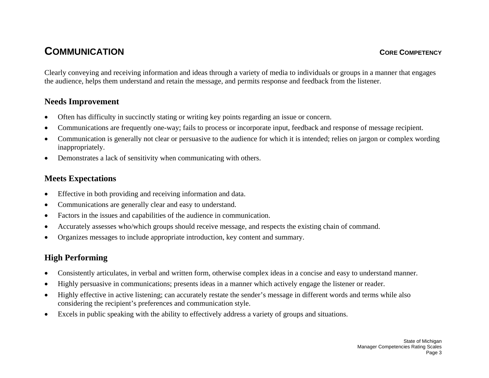# **COMMUNICATION**

Clearly conveying and receiving information and ideas through a variety of media to individuals or groups in a manner that engages the audience, helps them understand and retain the message, and permits response and feedback from the listener.

## **Needs Improvement**

- •Often has difficulty in succinctly stating or writing key points regarding an issue or concern.
- •Communications are frequently one-way; fails to process or incorporate input, feedback and response of message recipient.
- • Communication is generally not clear or persuasive to the audience for which it is intended; relies on jargon or complex wording inappropriately.
- •Demonstrates a lack of sensitivity when communicating with others.

## **Meets Expectations**

- •Effective in both providing and receiving information and data.
- •Communications are generally clear and easy to understand.
- •Factors in the issues and capabilities of the audience in communication.
- •Accurately assesses who/which groups should receive message, and respects the existing chain of command.
- •Organizes messages to include appropriate introduction, key content and summary.

- •Consistently articulates, in verbal and written form, otherwise complex ideas in a concise and easy to understand manner.
- •Highly persuasive in communications; presents ideas in a manner which actively engage the listener or reader.
- • Highly effective in active listening; can accurately restate the sender's message in different words and terms while also considering the recipient's preferences and communication style.
- •Excels in public speaking with the ability to effectively address a variety of groups and situations.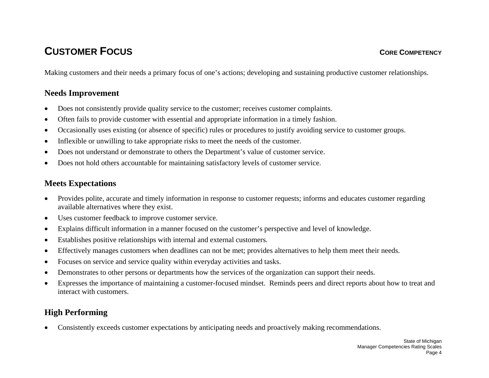# **CUSTOMER FOCUS**

Making customers and their needs a primary focus of one's actions; developing and sustaining productive customer relationships.

## **Needs Improvement**

- •Does not consistently provide quality service to the customer; receives customer complaints.
- •Often fails to provide customer with essential and appropriate information in a timely fashion.
- •Occasionally uses existing (or absence of specific) rules or procedures to justify avoiding service to customer groups.
- •Inflexible or unwilling to take appropriate risks to meet the needs of the customer.
- •Does not understand or demonstrate to others the Department's value of customer service.
- •Does not hold others accountable for maintaining satisfactory levels of customer service.

## **Meets Expectations**

- • Provides polite, accurate and timely information in response to customer requests; informs and educates customer regarding available alternatives where they exist.
- •Uses customer feedback to improve customer service.
- •Explains difficult information in a manner focused on the customer's perspective and level of knowledge.
- •Establishes positive relationships with internal and external customers.
- •Effectively manages customers when deadlines can not be met; provides alternatives to help them meet their needs.
- •Focuses on service and service quality within everyday activities and tasks.
- •Demonstrates to other persons or departments how the services of the organization can support their needs.
- • Expresses the importance of maintaining a customer-focused mindset. Reminds peers and direct reports about how to treat and interact with customers.

# **High Performing**

 $\bullet$ Consistently exceeds customer expectations by anticipating needs and proactively making recommendations.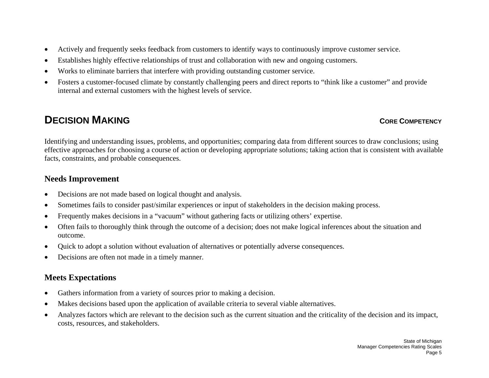- •Actively and frequently seeks feedback from customers to identify ways to continuously improve customer service.
- •Establishes highly effective relationships of trust and collaboration with new and ongoing customers.
- •Works to eliminate barriers that interfere with providing outstanding customer service.
- • Fosters a customer-focused climate by constantly challenging peers and direct reports to "think like a customer" and provide internal and external customers with the highest levels of service.

# **DECISION MAKING**

#### **CORE COMPETENCY**

Identifying and understanding issues, problems, and opportunities; comparing data from different sources to draw conclusions; using effective approaches for choosing a course of action or developing appropriate solutions; taking action that is consistent with available facts, constraints, and probable consequences.

## **Needs Improvement**

- •Decisions are not made based on logical thought and analysis.
- •Sometimes fails to consider past/similar experiences or input of stakeholders in the decision making process.
- •Frequently makes decisions in a "vacuum" without gathering facts or utilizing others' expertise.
- • Often fails to thoroughly think through the outcome of a decision; does not make logical inferences about the situation and outcome.
- •Quick to adopt a solution without evaluation of alternatives or potentially adverse consequences.
- •Decisions are often not made in a timely manner.

## **Meets Expectations**

- •Gathers information from a variety of sources prior to making a decision.
- •Makes decisions based upon the application of available criteria to several viable alternatives.
- • Analyzes factors which are relevant to the decision such as the current situation and the criticality of the decision and its impact, costs, resources, and stakeholders.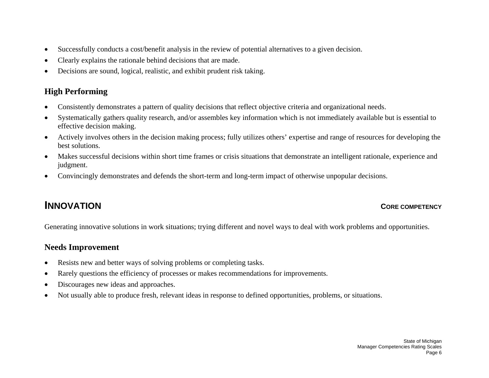- •Successfully conducts a cost/benefit analysis in the review of potential alternatives to a given decision.
- •Clearly explains the rationale behind decisions that are made.
- •Decisions are sound, logical, realistic, and exhibit prudent risk taking.

## **High Performing**

- •Consistently demonstrates a pattern of quality decisions that reflect objective criteria and organizational needs.
- • Systematically gathers quality research, and/or assembles key information which is not immediately available but is essential to effective decision making.
- • Actively involves others in the decision making process; fully utilizes others' expertise and range of resources for developing the best solutions.
- • Makes successful decisions within short time frames or crisis situations that demonstrate an intelligent rationale, experience and judgment.
- •Convincingly demonstrates and defends the short-term and long-term impact of otherwise unpopular decisions.

# **INNOVATION**

#### **CORE COMPETENCY**

Generating innovative solutions in work situations; trying different and novel ways to deal with work problems and opportunities.

- •Resists new and better ways of solving problems or completing tasks.
- •Rarely questions the efficiency of processes or makes recommendations for improvements.
- •Discourages new ideas and approaches.
- •Not usually able to produce fresh, relevant ideas in response to defined opportunities, problems, or situations.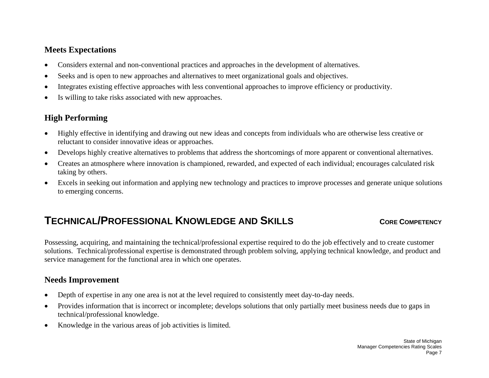- •Considers external and non-conventional practices and approaches in the development of alternatives.
- •Seeks and is open to new approaches and alternatives to meet organizational goals and objectives.
- •Integrates existing effective approaches with less conventional approaches to improve efficiency or productivity.
- •Is willing to take risks associated with new approaches.

## **High Performing**

- • Highly effective in identifying and drawing out new ideas and concepts from individuals who are otherwise less creative or reluctant to consider innovative ideas or approaches.
- •Develops highly creative alternatives to problems that address the shortcomings of more apparent or conventional alternatives.
- • Creates an atmosphere where innovation is championed, rewarded, and expected of each individual; encourages calculated risk taking by others.
- $\bullet$  Excels in seeking out information and applying new technology and practices to improve processes and generate unique solutions to emerging concerns.

# **TECHNICAL/PROFESSIONAL KNOWLEDGE AND SKILLS**

#### **CORE COMPETENCY**

Possessing, acquiring, and maintaining the technical/professional expertise required to do the job effectively and to create customer solutions. Technical/professional expertise is demonstrated through problem solving, applying technical knowledge, and product and service management for the functional area in which one operates.

- •Depth of expertise in any one area is not at the level required to consistently meet day-to-day needs.
- • Provides information that is incorrect or incomplete; develops solutions that only partially meet business needs due to gaps in technical/professional knowledge.
- $\bullet$ Knowledge in the various areas of job activities is limited.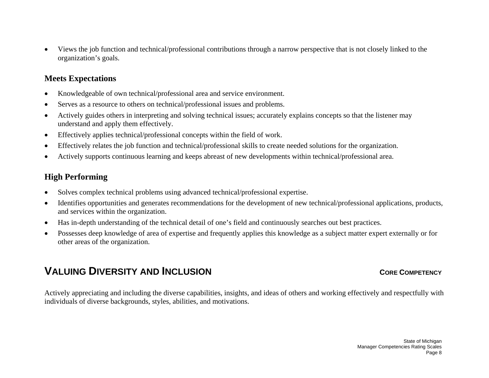• Views the job function and technical/professional contributions through a narrow perspective that is not closely linked to the organization's goals.

#### **Meets Expectations**

- •Knowledgeable of own technical/professional area and service environment.
- •Serves as a resource to others on technical/professional issues and problems.
- • Actively guides others in interpreting and solving technical issues; accurately explains concepts so that the listener may understand and apply them effectively.
- •Effectively applies technical/professional concepts within the field of work.
- •Effectively relates the job function and technical/professional skills to create needed solutions for the organization.
- •Actively supports continuous learning and keeps abreast of new developments within technical/professional area.

#### **High Performing**

- •Solves complex technical problems using advanced technical/professional expertise.
- • Identifies opportunities and generates recommendations for the development of new technical/professional applications, products, and services within the organization.
- •Has in-depth understanding of the technical detail of one's field and continuously searches out best practices.
- $\bullet$  Possesses deep knowledge of area of expertise and frequently applies this knowledge as a subject matter expert externally or for other areas of the organization.

# **VALUING DIVERSITY AND INCLUSION** CONSIDERED AND **CORE COMPETENCY**

Actively appreciating and including the diverse capabilities, insights, and ideas of others and working effectively and respectfully with individuals of diverse backgrounds, styles, abilities, and motivations.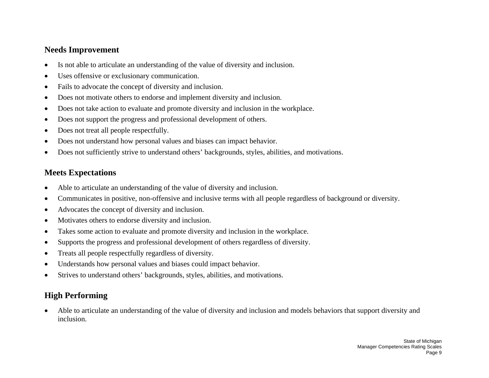#### **Needs Improvement**

- •Is not able to articulate an understanding of the value of diversity and inclusion.
- •Uses offensive or exclusionary communication.
- •Fails to advocate the concept of diversity and inclusion.
- •Does not motivate others to endorse and implement diversity and inclusion.
- •Does not take action to evaluate and promote diversity and inclusion in the workplace.
- •Does not support the progress and professional development of others.
- •Does not treat all people respectfully.
- •Does not understand how personal values and biases can impact behavior.
- •Does not sufficiently strive to understand others' backgrounds, styles, abilities, and motivations.

## **Meets Expectations**

- •Able to articulate an understanding of the value of diversity and inclusion.
- •Communicates in positive, non-offensive and inclusive terms with all people regardless of background or diversity.
- •Advocates the concept of diversity and inclusion.
- •Motivates others to endorse diversity and inclusion.
- •Takes some action to evaluate and promote diversity and inclusion in the workplace.
- •Supports the progress and professional development of others regardless of diversity.
- •Treats all people respectfully regardless of diversity.
- •Understands how personal values and biases could impact behavior.
- •Strives to understand others' backgrounds, styles, abilities, and motivations.

## **High Performing**

• Able to articulate an understanding of the value of diversity and inclusion and models behaviors that support diversity and inclusion.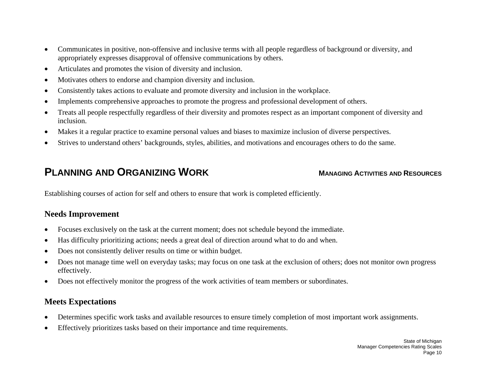- • Communicates in positive, non-offensive and inclusive terms with all people regardless of background or diversity, and appropriately expresses disapproval of offensive communications by others.
- •Articulates and promotes the vision of diversity and inclusion.
- •Motivates others to endorse and champion diversity and inclusion.
- •Consistently takes actions to evaluate and promote diversity and inclusion in the workplace.
- •Implements comprehensive approaches to promote the progress and professional development of others.
- • Treats all people respectfully regardless of their diversity and promotes respect as an important component of diversity and inclusion.
- •Makes it a regular practice to examine personal values and biases to maximize inclusion of diverse perspectives.
- •Strives to understand others' backgrounds, styles, abilities, and motivations and encourages others to do the same.

# **PLANNING AND ORGANIZING WORK**

#### **MANAGING ACTIVITIES AND RESOURCES**

Establishing courses of action for self and others to ensure that work is completed efficiently.

## **Needs Improvement**

- •Focuses exclusively on the task at the current moment; does not schedule beyond the immediate.
- •Has difficulty prioritizing actions; needs a great deal of direction around what to do and when.
- •Does not consistently deliver results on time or within budget.
- • Does not manage time well on everyday tasks; may focus on one task at the exclusion of others; does not monitor own progress effectively.
- $\bullet$ Does not effectively monitor the progress of the work activities of team members or subordinates.

## **Meets Expectations**

- •Determines specific work tasks and available resources to ensure timely completion of most important work assignments.
- •Effectively prioritizes tasks based on their importance and time requirements.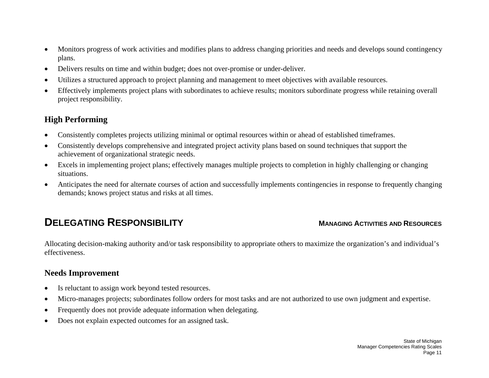- $\bullet$  Monitors progress of work activities and modifies plans to address changing priorities and needs and develops sound contingency plans.
- •Delivers results on time and within budget; does not over-promise or under-deliver.
- •Utilizes a structured approach to project planning and management to meet objectives with available resources.
- • Effectively implements project plans with subordinates to achieve results; monitors subordinate progress while retaining overall project responsibility.

## **High Performing**

- •Consistently completes projects utilizing minimal or optimal resources within or ahead of established timeframes.
- • Consistently develops comprehensive and integrated project activity plans based on sound techniques that support the achievement of organizational strategic needs.
- $\bullet$  Excels in implementing project plans; effectively manages multiple projects to completion in highly challenging or changing situations.
- • Anticipates the need for alternate courses of action and successfully implements contingencies in response to frequently changing demands; knows project status and risks at all times.

# **DELEGATING RESPONSIBILITY**

#### **MANAGING ACTIVITIES AND RESOURCES**

Allocating decision-making authority and/or task responsibility to appropriate others to maximize the organization's and individual's effectiveness.

- •Is reluctant to assign work beyond tested resources.
- •Micro-manages projects; subordinates follow orders for most tasks and are not authorized to use own judgment and expertise.
- •Frequently does not provide adequate information when delegating.
- •Does not explain expected outcomes for an assigned task.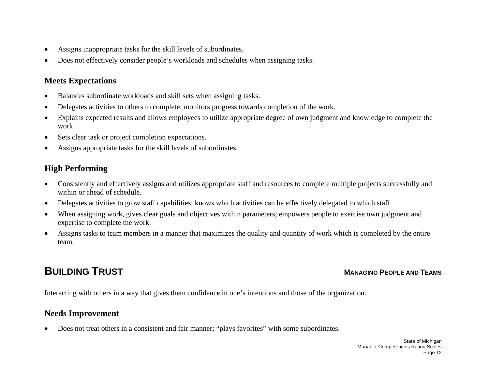- •Assigns inappropriate tasks for the skill levels of subordinates.
- •Does not effectively consider people's workloads and schedules when assigning tasks.

- •Balances subordinate workloads and skill sets when assigning tasks.
- •Delegates activities to others to complete; monitors progress towards completion of the work.
- • Explains expected results and allows employees to utilize appropriate degree of own judgment and knowledge to complete the work.
- •Sets clear task or project completion expectations.
- •Assigns appropriate tasks for the skill levels of subordinates.

## **High Performing**

- $\bullet$  Consistently and effectively assigns and utilizes appropriate staff and resources to complete multiple projects successfully and within or ahead of schedule.
- •Delegates activities to grow staff capabilities; knows which activities can be effectively delegated to which staff.
- •When assigning work, gives clear goals and objectives within parameters; empowers people to exercise own judgment and expertise to complete the work.
- • Assigns tasks to team members in a manner that maximizes the quality and quantity of work which is completed by the entire team.

# **BUILDING TRUST**

#### **MANAGING PEOPLE AND TEAMS**

Interacting with others in a way that gives them confidence in one's intentions and those of the organization.

## **Needs Improvement**

•Does not treat others in a consistent and fair manner; "plays favorites" with some subordinates.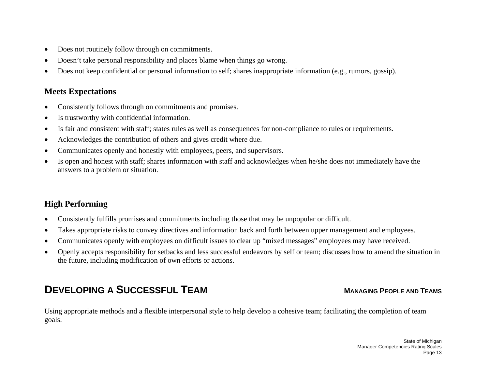- •Does not routinely follow through on commitments.
- •Doesn't take personal responsibility and places blame when things go wrong.
- •Does not keep confidential or personal information to self; shares inappropriate information (e.g., rumors, gossip).

- •Consistently follows through on commitments and promises.
- •Is trustworthy with confidential information.
- •Is fair and consistent with staff; states rules as well as consequences for non-compliance to rules or requirements.
- •Acknowledges the contribution of others and gives credit where due.
- •Communicates openly and honestly with employees, peers, and supervisors.
- • Is open and honest with staff; shares information with staff and acknowledges when he/she does not immediately have the answers to a problem or situation.

## **High Performing**

- •Consistently fulfills promises and commitments including those that may be unpopular or difficult.
- •Takes appropriate risks to convey directives and information back and forth between upper management and employees.
- •Communicates openly with employees on difficult issues to clear up "mixed messages" employees may have received.
- • Openly accepts responsibility for setbacks and less successful endeavors by self or team; discusses how to amend the situation in the future, including modification of own efforts or actions.

# **DEVELOPING A SUCCESSFUL TEAM**

#### **MANAGING PEOPLE AND TEAMS**

Using appropriate methods and a flexible interpersonal style to help develop a cohesive team; facilitating the completion of team goals.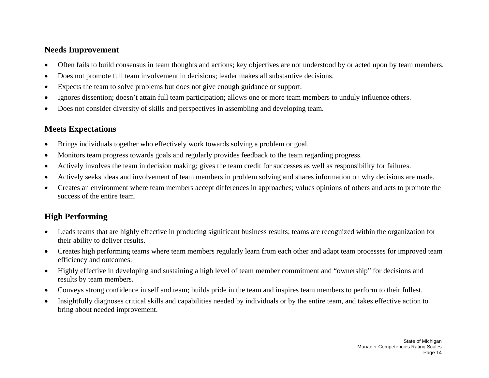#### **Needs Improvement**

- •Often fails to build consensus in team thoughts and actions; key objectives are not understood by or acted upon by team members.
- •Does not promote full team involvement in decisions; leader makes all substantive decisions.
- •Expects the team to solve problems but does not give enough guidance or support.
- •Ignores dissention; doesn't attain full team participation; allows one or more team members to unduly influence others.
- •Does not consider diversity of skills and perspectives in assembling and developing team.

## **Meets Expectations**

- •Brings individuals together who effectively work towards solving a problem or goal.
- •Monitors team progress towards goals and regularly provides feedback to the team regarding progress.
- •Actively involves the team in decision making; gives the team credit for successes as well as responsibility for failures.
- •Actively seeks ideas and involvement of team members in problem solving and shares information on why decisions are made.
- • Creates an environment where team members accept differences in approaches; values opinions of others and acts to promote the success of the entire team.

- Leads teams that are highly effective in producing significant business results; teams are recognized within the organization for their ability to deliver results.
- • Creates high performing teams where team members regularly learn from each other and adapt team processes for improved team efficiency and outcomes.
- $\bullet$  Highly effective in developing and sustaining a high level of team member commitment and "ownership" for decisions and results by team members.
- •Conveys strong confidence in self and team; builds pride in the team and inspires team members to perform to their fullest.
- • Insightfully diagnoses critical skills and capabilities needed by individuals or by the entire team, and takes effective action to bring about needed improvement.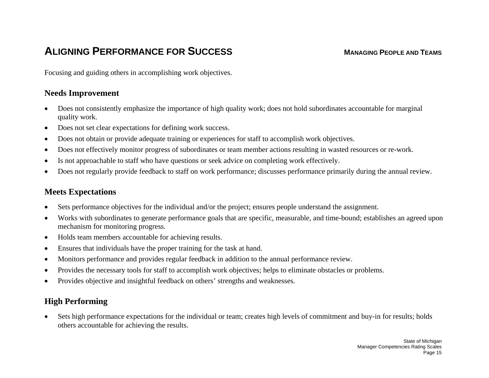# **ALIGNING PERFORMANCE FOR SUCCESS**

#### **MANAGING PEOPLE AND TEAMS**

Focusing and guiding others in accomplishing work objectives.

#### **Needs Improvement**

- • Does not consistently emphasize the importance of high quality work; does not hold subordinates accountable for marginal quality work.
- •Does not set clear expectations for defining work success.
- •Does not obtain or provide adequate training or experiences for staff to accomplish work objectives.
- •Does not effectively monitor progress of subordinates or team member actions resulting in wasted resources or re-work.
- •Is not approachable to staff who have questions or seek advice on completing work effectively.
- •Does not regularly provide feedback to staff on work performance; discusses performance primarily during the annual review.

## **Meets Expectations**

- •Sets performance objectives for the individual and/or the project; ensures people understand the assignment.
- • Works with subordinates to generate performance goals that are specific, measurable, and time-bound; establishes an agreed upon mechanism for monitoring progress.
- •Holds team members accountable for achieving results.
- •Ensures that individuals have the proper training for the task at hand.
- •Monitors performance and provides regular feedback in addition to the annual performance review.
- •Provides the necessary tools for staff to accomplish work objectives; helps to eliminate obstacles or problems.
- •Provides objective and insightful feedback on others' strengths and weaknesses.

## **High Performing**

 $\bullet$  Sets high performance expectations for the individual or team; creates high levels of commitment and buy-in for results; holds others accountable for achieving the results.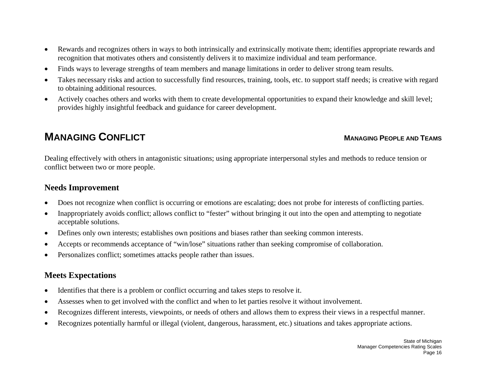- • Rewards and recognizes others in ways to both intrinsically and extrinsically motivate them; identifies appropriate rewards and recognition that motivates others and consistently delivers it to maximize individual and team performance.
- •Finds ways to leverage strengths of team members and manage limitations in order to deliver strong team results.
- • Takes necessary risks and action to successfully find resources, training, tools, etc. to support staff needs; is creative with regard to obtaining additional resources.
- • Actively coaches others and works with them to create developmental opportunities to expand their knowledge and skill level; provides highly insightful feedback and guidance for career development.

# **MANAGING CONFLICT**

#### **MANAGING PEOPLE AND TEAMS**

Dealing effectively with others in antagonistic situations; using appropriate interpersonal styles and methods to reduce tension or conflict between two or more people.

## **Needs Improvement**

- •Does not recognize when conflict is occurring or emotions are escalating; does not probe for interests of conflicting parties.
- • Inappropriately avoids conflict; allows conflict to "fester" without bringing it out into the open and attempting to negotiate acceptable solutions.
- •Defines only own interests; establishes own positions and biases rather than seeking common interests.
- •Accepts or recommends acceptance of "win/lose" situations rather than seeking compromise of collaboration.
- •Personalizes conflict; sometimes attacks people rather than issues.

## **Meets Expectations**

- $\bullet$ Identifies that there is a problem or conflict occurring and takes steps to resolve it.
- •Assesses when to get involved with the conflict and when to let parties resolve it without involvement.
- •Recognizes different interests, viewpoints, or needs of others and allows them to express their views in a respectful manner.
- •Recognizes potentially harmful or illegal (violent, dangerous, harassment, etc.) situations and takes appropriate actions.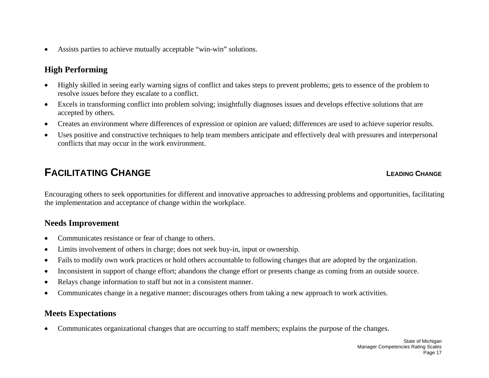$\bullet$ Assists parties to achieve mutually acceptable "win-win" solutions.

## **High Performing**

- $\bullet$  Highly skilled in seeing early warning signs of conflict and takes steps to prevent problems; gets to essence of the problem to resolve issues before they escalate to a conflict.
- • Excels in transforming conflict into problem solving; insightfully diagnoses issues and develops effective solutions that are accepted by others.
- •Creates an environment where differences of expression or opinion are valued; differences are used to achieve superior results.
- • Uses positive and constructive techniques to help team members anticipate and effectively deal with pressures and interpersonal conflicts that may occur in the work environment.

# **FACILITATING CHANGE**

#### **LEADING CHANGE**

Encouraging others to seek opportunities for different and innovative approaches to addressing problems and opportunities, facilitating the implementation and acceptance of change within the workplace.

#### **Needs Improvement**

- •Communicates resistance or fear of change to others.
- •Limits involvement of others in charge; does not seek buy-in, input or ownership.
- •Fails to modify own work practices or hold others accountable to following changes that are adopted by the organization.
- •Inconsistent in support of change effort; abandons the change effort or presents change as coming from an outside source.
- •Relays change information to staff but not in a consistent manner.
- •Communicates change in a negative manner; discourages others from taking a new approach to work activities.

#### **Meets Expectations**

•Communicates organizational changes that are occurring to staff members; explains the purpose of the changes.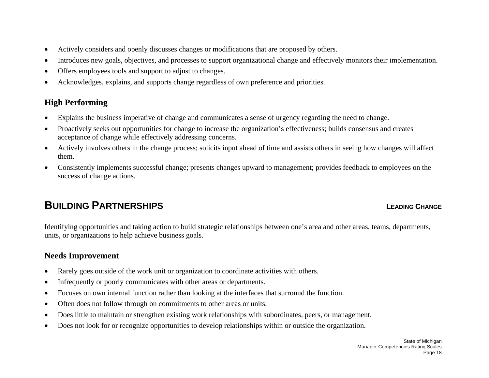- •Actively considers and openly discusses changes or modifications that are proposed by others.
- •Introduces new goals, objectives, and processes to support organizational change and effectively monitors their implementation.
- •Offers employees tools and support to adjust to changes.
- •Acknowledges, explains, and supports change regardless of own preference and priorities.

## **High Performing**

- •Explains the business imperative of change and communicates a sense of urgency regarding the need to change.
- • Proactively seeks out opportunities for change to increase the organization's effectiveness; builds consensus and creates acceptance of change while effectively addressing concerns.
- $\bullet$  Actively involves others in the change process; solicits input ahead of time and assists others in seeing how changes will affect them.
- • Consistently implements successful change; presents changes upward to management; provides feedback to employees on the success of change actions.

# **BUILDING PARTNERSHIPS**

#### **LEADING CHANGE**

Identifying opportunities and taking action to build strategic relationships between one's area and other areas, teams, departments, units, or organizations to help achieve business goals.

- •Rarely goes outside of the work unit or organization to coordinate activities with others.
- •Infrequently or poorly communicates with other areas or departments.
- •Focuses on own internal function rather than looking at the interfaces that surround the function.
- •Often does not follow through on commitments to other areas or units.
- •Does little to maintain or strengthen existing work relationships with subordinates, peers, or management.
- •Does not look for or recognize opportunities to develop relationships within or outside the organization.